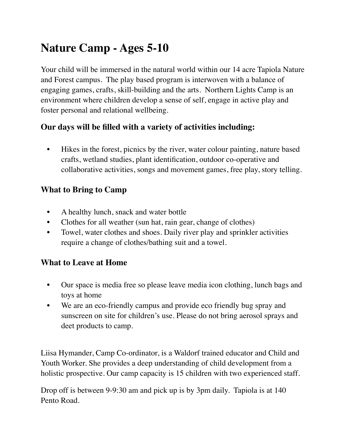## **Nature Camp - Ages 5-10**

Your child will be immersed in the natural world within our 14 acre Tapiola Nature and Forest campus. The play based program is interwoven with a balance of engaging games, crafts, skill-building and the arts. Northern Lights Camp is an environment where children develop a sense of self, engage in active play and foster personal and relational wellbeing.

## **Our days will be filled with a variety of activities including:**

• Hikes in the forest, picnics by the river, water colour painting, nature based crafts, wetland studies, plant identification, outdoor co-operative and collaborative activities, songs and movement games, free play, story telling.

## **What to Bring to Camp**

- A healthy lunch, snack and water bottle
- Clothes for all weather (sun hat, rain gear, change of clothes)
- Towel, water clothes and shoes. Daily river play and sprinkler activities require a change of clothes/bathing suit and a towel.

## **What to Leave at Home**

- Our space is media free so please leave media icon clothing, lunch bags and toys at home
- We are an eco-friendly campus and provide eco friendly bug spray and sunscreen on site for children's use. Please do not bring aerosol sprays and deet products to camp.

Liisa Hymander, Camp Co-ordinator, is a Waldorf trained educator and Child and Youth Worker. She provides a deep understanding of child development from a holistic prospective. Our camp capacity is 15 children with two experienced staff.

Drop off is between 9-9:30 am and pick up is by 3pm daily. Tapiola is at 140 Pento Road.